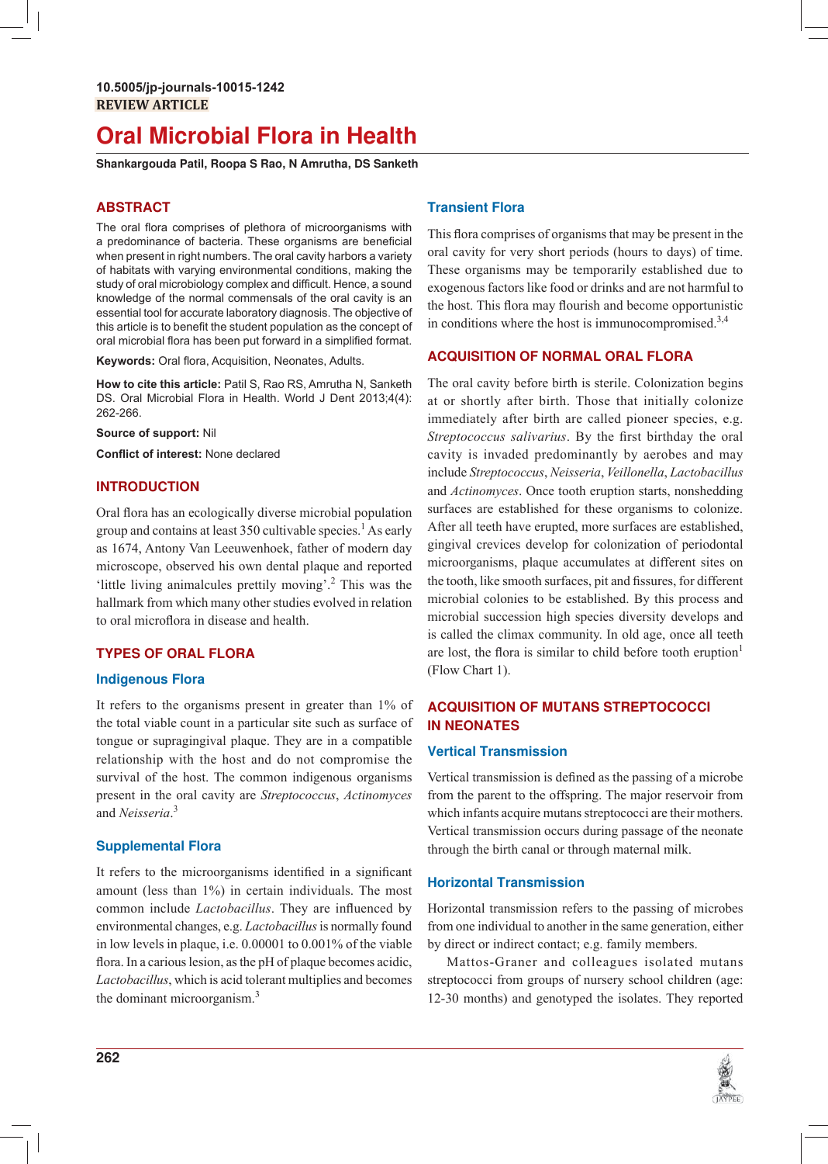## **Oral Microbial Flora in Health**

Shankargouda Patil, Roopa S Rao, N Amrutha, DS Sanketh

## **ABSTRACT**

The oral flora comprises of plethora of microorganisms with a predominance of bacteria. These organisms are beneficial when present in right numbers. The oral cavity harbors a variety of habitats with varying environmental conditions, making the study of oral microbiology complex and difficult. Hence, a sound knowledge of the normal commensals of the oral cavity is an essential tool for accurate laboratory diagnosis. The objective of this article is to benefit the student population as the concept of oral microbial flora has been put forward in a simplified format.

Keywords: Oral flora, Acquisition, Neonates, Adults.

How to cite this article: Patil S, Rao RS, Amrutha N, Sanketh DS. Oral Microbial Flora in Health. World J Dent 2013;4(4): 262-266.

Source of support: Nil

Conflict of interest: None declared

## **INTRODUCTION**

Oral flora has an ecologically diverse microbial population group and contains at least 350 cultivable species. As early as 1674, Antony Van Leeuwenhoek, father of modern day microscope, observed his own dental plaque and reported 'little living animalcules prettily moving'.<sup>2</sup> This was the hallmark from which many other studies evolved in relation to oral microflora in disease and health.

## **TYPES OF ORAL FLORA**

## **Indigenous Flora**

It refers to the organisms present in greater than 1% of the total viable count in a particular site such as surface of tongue or supragingival plaque. They are in a compatible relationship with the host and do not compromise the survival of the host. The common indigenous organisms present in the oral cavity are Streptococcus, Actinomyces and Neisseria.<sup>3</sup>

## **Supplemental Flora**

It refers to the microorganisms identified in a significant amount (less than 1%) in certain individuals. The most common include *Lactobacillus*. They are influenced by environmental changes, e.g. *Lactobacillus* is normally found in low levels in plaque, i.e. 0.00001 to 0.001% of the viable flora. In a carious lesion, as the pH of plaque becomes acidic, Lactobacillus, which is acid tolerant multiplies and becomes the dominant microorganism.<sup>3</sup>

## **Transient Flora**

This flora comprises of organisms that may be present in the oral cavity for very short periods (hours to days) of time. These organisms may be temporarily established due to exogenous factors like food or drinks and are not harmful to the host. This flora may flourish and become opportunistic in conditions where the host is immunocompromised.<sup>3,4</sup>

## **ACQUISITION OF NORMAL ORAL FLORA**

The oral cavity before birth is sterile. Colonization begins at or shortly after birth. Those that initially colonize immediately after birth are called pioneer species, e.g. Streptococcus salivarius. By the first birthday the oral cavity is invaded predominantly by aerobes and may include Streptococcus, Neisseria, Veillonella, Lactobacillus and Actinomyces. Once tooth eruption starts, nonshedding surfaces are established for these organisms to colonize. After all teeth have erupted, more surfaces are established, gingival crevices develop for colonization of periodontal microorganisms, plaque accumulates at different sites on the tooth, like smooth surfaces, pit and fissures, for different microbial colonies to be established. By this process and microbial succession high species diversity develops and is called the climax community. In old age, once all teeth are lost, the flora is similar to child before tooth eruption<sup>1</sup> (Flow Chart 1).

## **ACQUISITION OF MUTANS STREPTOCOCCI IN NEONATES**

## **Vertical Transmission**

Vertical transmission is defined as the passing of a microbe from the parent to the offspring. The major reservoir from which infants acquire mutans streptococci are their mothers. Vertical transmission occurs during passage of the neonate through the birth canal or through maternal milk.

## **Horizontal Transmission**

Horizontal transmission refers to the passing of microbes from one individual to another in the same generation, either by direct or indirect contact; e.g. family members.

Mattos-Graner and colleagues isolated mutans streptococci from groups of nursery school children (age: 12-30 months) and genotyped the isolates. They reported

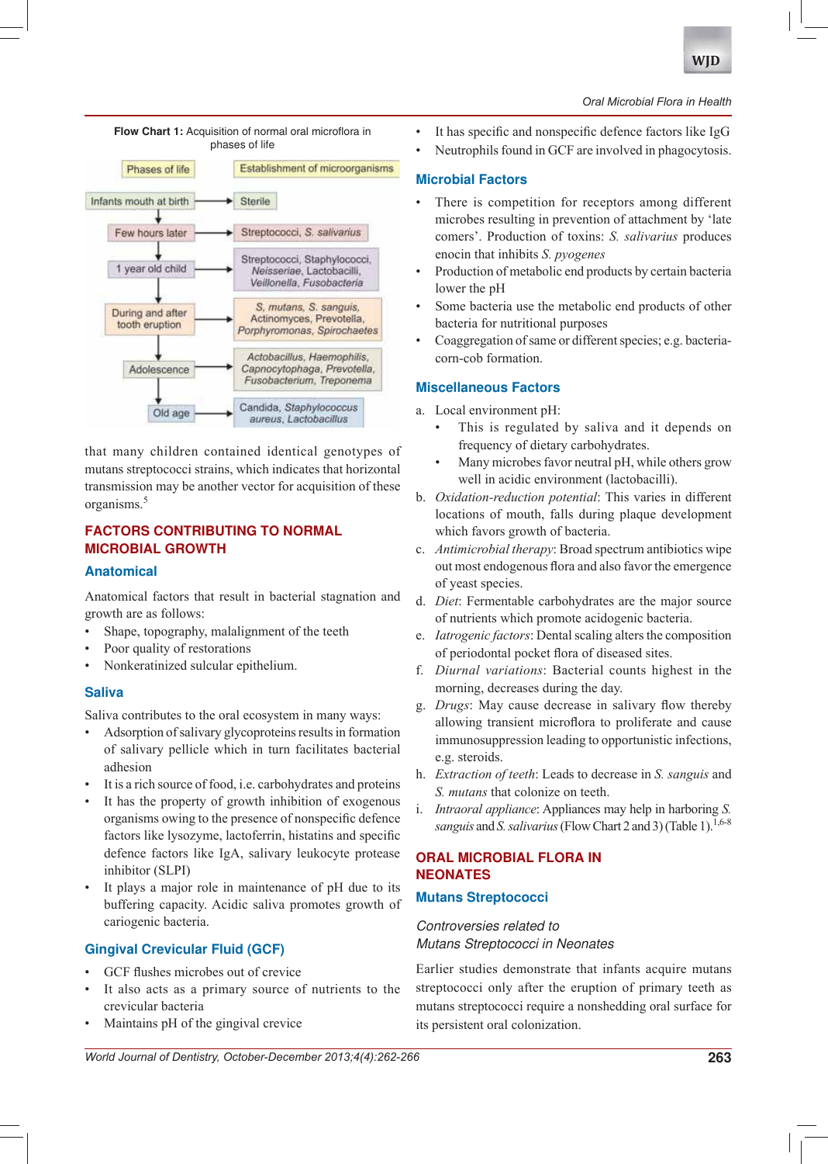

## *Oral Microbial Flora in Health*

phases of lifeEstablishment of microorganisms Phases of life Infants mouth at birth Sterile Streptococci, S. salivarius Few hours later Streptococci, Staphylococci, 1 year old child Neisseriae, Lactobacilli, Veillonella, Fusobacteria S, mutans, S. sanguis, During and after Actinomyces, Prevotella, tooth eruption Porphyromonas, Spirochaetes Actobacillus, Haemophilis, Capnocytophaga, Prevotella, Adolescence Fusobacterium, Treponema Candida, Staphylococcus Old age aureus, Lactobacillus

Flow Chart 1: Acquisition of normal oral microflora in

that many children contained identical genotypes of mutans streptococci strains, which indicates that horizontal transmission may be another vector for acquisition of these organisms. $5$ 

## **FACTORS CONTRIBUTING TO NORMAL MICROBIAL GROWTH**

## **Anatomical**

Anatomical factors that result in bacterial stagnation and growth are as follows:

- Shape, topography, malalignment of the teeth
- Poor quality of restorations
- Nonkeratinized sulcular epithelium.

## **Saliva**

Saliva contributes to the oral ecosystem in many ways:

- Adsorption of salivary glycoproteins results in formation of salivary pellicle which in turn facilitates bacterial adhesion
- It is a rich source of food, i.e. carbohydrates and proteins
- It has the property of growth inhibition of exogenous organisms owing to the presence of nonspecific defence factors like lysozyme, lactoferrin, histatins and specific defence factors like IgA, salivary leukocyte protease inhibitor (SLPI)
- It plays a major role in maintenance of pH due to its buffering capacity. Acidic saliva promotes growth of cariogenic bacteria.

## **Gingival Crevicular Fluid (GCF)**

- GCF flushes microbes out of crevice
- It also acts as a primary source of nutrients to the crevicular bacteria
- Maintains pH of the gingival crevice

#### frequency of dietary carbohydrates.

enocin that inhibits S. pyogenes

bacteria for nutritional purposes

**Microbial Factors**

lower the pH

corn-cob formation.

**Miscellaneous Factors** a. Local environment pH:

> Many microbes favor neutral pH, while others grow well in acidic environment (lactobacilli).

This is regulated by saliva and it depends on

It has specific and nonspecific defence factors like IgG Neutrophils found in GCF are involved in phagocytosis.

There is competition for receptors among different microbes resulting in prevention of attachment by 'late comers'. Production of toxins: S. salivarius produces

Production of metabolic end products by certain bacteria

Some bacteria use the metabolic end products of other

Coaggregation of same or different species; e.g. bacteria-

- b. *Oxidation-reduction potential*: This varies in different locations of mouth, falls during plaque development which favors growth of bacteria.
- c. *Antimicrobial therapy*: Broad spectrum antibiotics wipe out most endogenous flora and also favor the emergence of yeast species.
- d. *Diet*: Fermentable carbohydrates are the major source of nutrients which promote acidogenic bacteria.
- e. *Iatrogenic factors*: Dental scaling alters the composition of periodontal pocket flora of diseased sites.
- f. *Diurnal variations*: Bacterial counts highest in the morning, decreases during the day.
- g. *Drugs*: May cause decrease in salivary flow thereby allowing transient microflora to proliferate and cause immunosuppression leading to opportunistic infections, e.g. steroids.
- h. *Extraction of teeth*: Leads to decrease in *S. sanguis* and *S. mutans* that colonize on teeth.
- i. *Intraoral appliance*: Appliances may help in harboring *S*. *sanguis* and *S. salivarius* (Flow Chart 2 and 3) (Table 1).<sup>1,6-8</sup>

## **ORAL MICROBIAL FLORA IN NEONATES**

## **Mutans Streptococci**

## Controversies related to Mutans Streptococci in Neonates

Earlier studies demonstrate that infants acquire mutans streptococci only after the eruption of primary teeth as mutans streptococci require a nonshedding oral surface for its persistent oral colonization.

*World Journal of Dentistry, October-December 2013;4(4):262-266* **263**

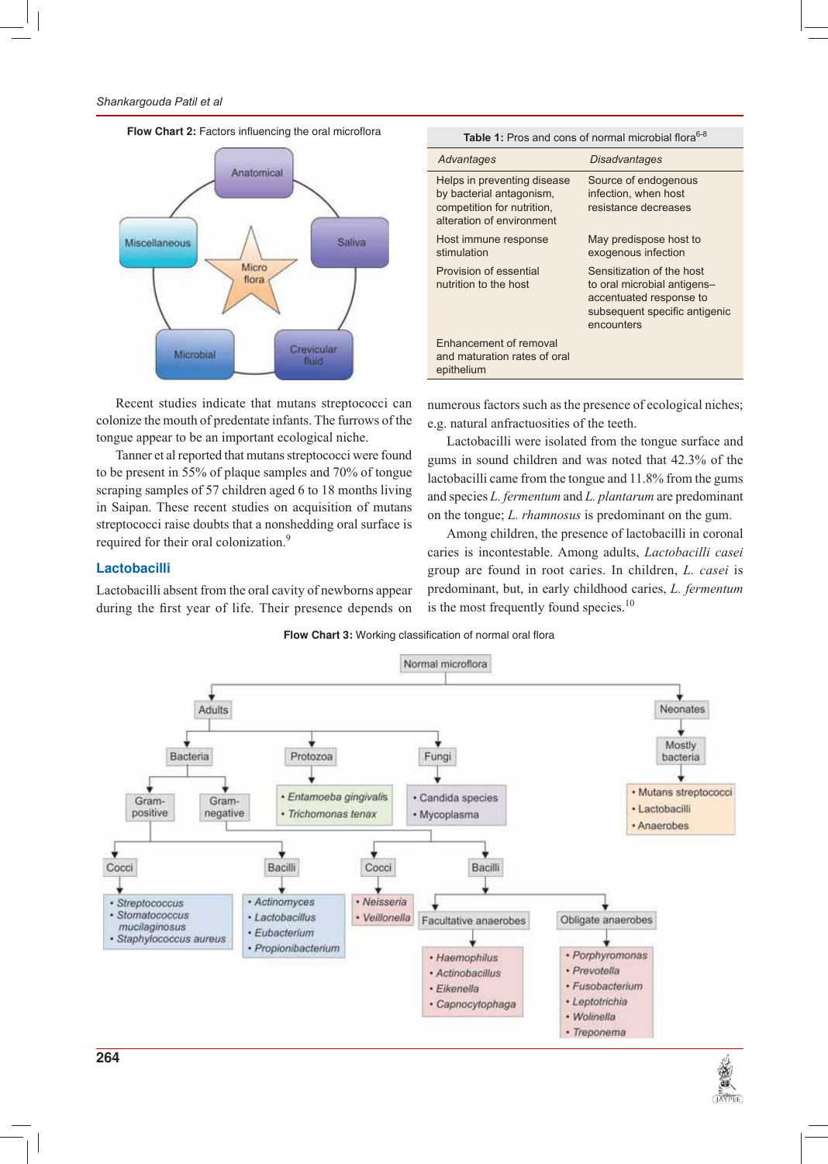

Table 1: Pros and cons of normal microbial flora<sup>6-8</sup> **Disadvantages** Advantages Source of endogenous Helps in preventing disease by bacterial antagonism, infection, when host competition for nutrition, resistance decreases alteration of environment Host immune response May predispose host to stimulation exogenous infection Provision of essential Sensitization of the host nutrition to the host to oral microbial antigensaccentuated response to subsequent specific antigenic encounters **Enhancement of removal** and maturation rates of oral epithelium

Recent studies indicate that mutans streptococci can colonize the mouth of predentate infants. The furrows of the tongue appear to be an important ecological niche.

Tanner et al reported that mutans streptococci were found to be present in 55% of plaque samples and 70% of tongue scraping samples of 57 children aged 6 to 18 months living in Saipan. These recent studies on acquisition of mutans streptococci raise doubts that a nonshedding oral surface is required for their oral colonization.<sup>9</sup>

## Lactobacilli

Lactobacilli absent from the oral cavity of newborns appear during the first year of life. Their presence depends on numerous factors such as the presence of ecological niches; e.g. natural anfractuosities of the teeth.

Lactobacilli were isolated from the tongue surface and gums in sound children and was noted that 42.3% of the lactobacilli came from the tongue and 11.8% from the gums and species L. fermentum and L. plantarum are predominant on the tongue;  $L.$  rhamnosus is predominant on the gum.

Among children, the presence of lactobacilli in coronal caries is incontestable. Among adults, Lactobacilli casei group are found in root caries. In children, *L. casei* is predominant, but, in early childhood caries, *L. fermentum* is the most frequently found species.<sup>10</sup>





# **E**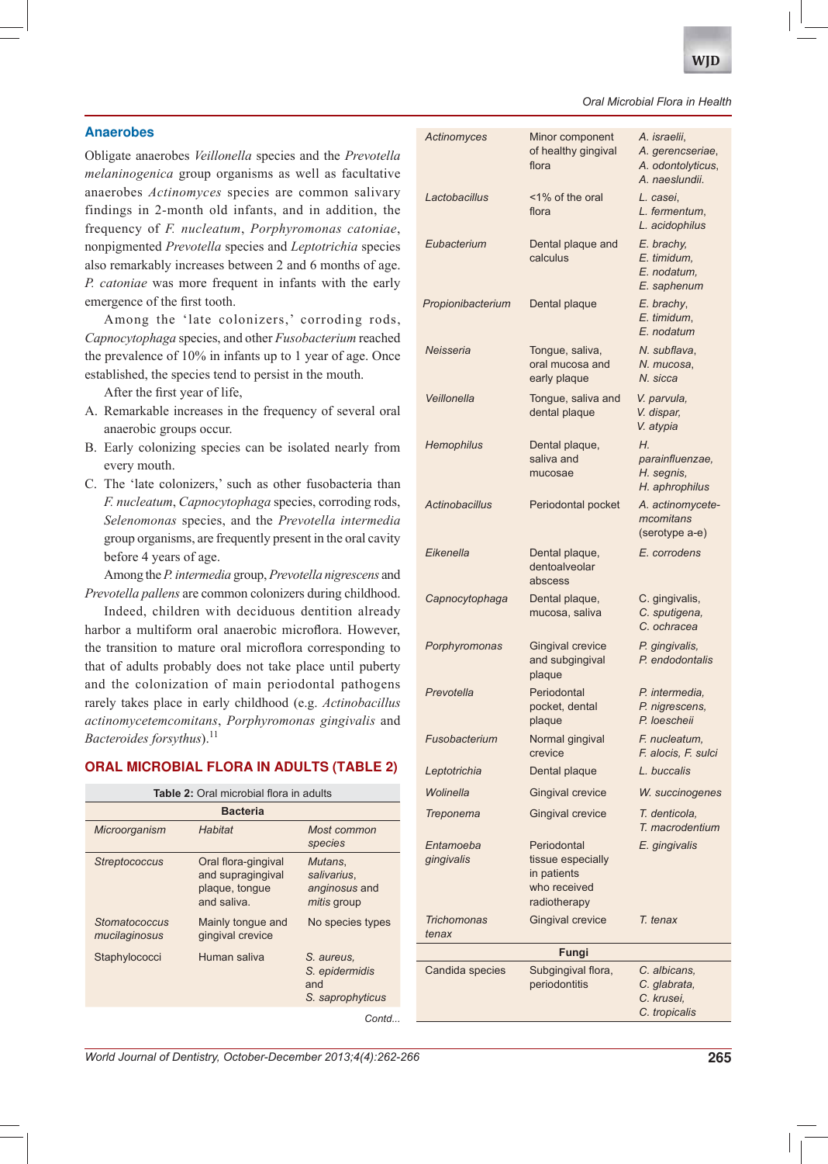

## Oral Microbial Flora in Health

## **Anaerobes**

Obligate anaerobes Veillonella species and the Prevotella *melaninogenica* group organisms as well as facultative anaerobes Actinomyces species are common salivary findings in 2-month old infants, and in addition, the frequency of F. nucleatum, Porphyromonas catoniae, nonpigmented Prevotella species and Leptotrichia species also remarkably increases between 2 and 6 months of age. P. catoniae was more frequent in infants with the early emergence of the first tooth.

Among the 'late colonizers,' corroding rods, Capnocytophaga species, and other Fusobacterium reached the prevalence of 10% in infants up to 1 year of age. Once established, the species tend to persist in the mouth.

After the first year of life,

- A. Remarkable increases in the frequency of several oral anaerobic groups occur.
- B. Early colonizing species can be isolated nearly from every mouth.
- C. The 'late colonizers,' such as other fusobacteria than F. nucleatum, Capnocytophaga species, corroding rods, Selenomonas species, and the Prevotella intermedia group organisms, are frequently present in the oral cavity before 4 years of age.

Among the P. intermedia group, Prevotella nigrescens and Prevotella pallens are common colonizers during childhood.

Indeed, children with deciduous dentition already harbor a multiform oral anaerobic microflora. However, the transition to mature oral microflora corresponding to that of adults probably does not take place until puberty and the colonization of main periodontal pathogens rarely takes place in early childhood (e.g. Actinobacillus actinomycetemcomitans, Porphyromonas gingivalis and Bacteroides forsythus).<sup>11</sup>

#### **ORAL MICROBIAL FLORA IN ADULTS (TABLE 2)**

| Table 2: Oral microbial flora in adults |                                                                           |                                                               |  |  |
|-----------------------------------------|---------------------------------------------------------------------------|---------------------------------------------------------------|--|--|
| <b>Bacteria</b>                         |                                                                           |                                                               |  |  |
| Microorganism                           | Habitat                                                                   | Most common<br>species                                        |  |  |
| <b>Streptococcus</b>                    | Oral flora-gingival<br>and supragingival<br>plaque, tongue<br>and saliva. | Mutans.<br>salivarius,<br>anginosus and<br><i>mitis</i> group |  |  |
| Stomatococcus<br>mucilaginosus          | Mainly tongue and<br>gingival crevice                                     | No species types                                              |  |  |
| Staphylococci                           | Human saliva                                                              | S. aureus.<br>S. epidermidis<br>and<br>S. saprophyticus       |  |  |
|                                         |                                                                           | Contd.                                                        |  |  |

|       | Actinomyces             | Minor component<br>of healthy gingival<br>flora                                 | A. israelii,<br>A. gerencseriae,<br>A. odontolyticus,<br>A. naeslundii. |  |
|-------|-------------------------|---------------------------------------------------------------------------------|-------------------------------------------------------------------------|--|
|       | Lactobacillus           | <1% of the oral<br>flora                                                        | L. casei,<br>L. fermentum,<br>L. acidophilus                            |  |
|       | Eubacterium             | Dental plaque and<br>calculus                                                   | E. brachy,<br>E. timidum.<br>E. nodatum.<br>E. saphenum                 |  |
|       | Propionibacterium       | Dental plaque                                                                   | E. brachy,<br>E. timidum,<br>E. nodatum                                 |  |
|       | Neisseria               | Tongue, saliva,<br>oral mucosa and<br>early plaque                              | N. subflava,<br>N. mucosa,<br>N. sicca                                  |  |
|       | Veillonella             | Tongue, saliva and<br>dental plaque                                             | V. parvula,<br>V. dispar,<br>V. atypia                                  |  |
|       | Hemophilus              | Dental plaque,<br>saliva and<br>mucosae                                         | Н.<br>parainfluenzae,<br>H. segnis,<br>H. aphrophilus                   |  |
|       | <b>Actinobacillus</b>   | Periodontal pocket                                                              | A. actinomycete-<br>mcomitans<br>(serotype a-e)                         |  |
|       | Eikenella               | Dental plaque,<br>dentoalveolar<br>abscess                                      | E. corrodens                                                            |  |
|       | Capnocytophaga          | Dental plaque,<br>mucosa, saliva                                                | C. gingivalis,<br>C. sputigena,<br>C. ochracea                          |  |
|       | Porphyromonas           | <b>Gingival crevice</b><br>and subgingival<br>plaque                            | P. gingivalis,<br>P. endodontalis                                       |  |
|       | Prevotella              | Periodontal<br>pocket, dental<br>plaque                                         | P. intermedia,<br>P. nigrescens,<br>P. loescheii                        |  |
|       | Fusobacterium           | Normal gingival<br>crevice                                                      | F. nucleatum.<br>F. alocis, F. sulci                                    |  |
|       | Leptotrichia            | Dental plaque                                                                   | L. buccalis                                                             |  |
|       | Wolinella               | <b>Gingival crevice</b>                                                         | W. succinogenes                                                         |  |
|       | Treponema               | Gingival crevice                                                                | T. denticola.<br>T. macrodentium                                        |  |
|       | Entamoeba<br>gingivalis | Periodontal<br>tissue especially<br>in patients<br>who received<br>radiotherapy | E. gingivalis                                                           |  |
|       | Trichomonas<br>tenax    | <b>Gingival crevice</b>                                                         | T. tenax                                                                |  |
| Fungi |                         |                                                                                 |                                                                         |  |
|       | Candida species         | Subgingival flora,<br>periodontitis                                             | C. albicans,<br>C. glabrata,<br>C. krusei,<br>C. tropicalis             |  |

World Journal of Dentistry, October-December 2013;4(4):262-266